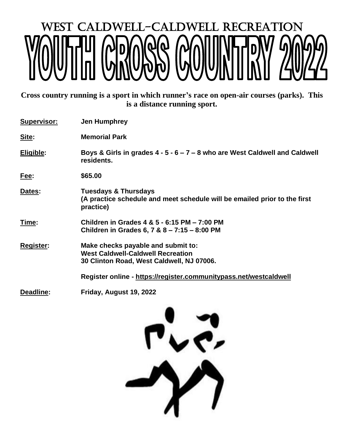## WEST CALDWELL-CALDWELL RECREATION

**Cross country running is a [sport](http://en.wikipedia.org/wiki/Sport) in which [runner's](http://en.wikipedia.org/wiki/Running) race on open-air courses (parks). This is a distance running sport.**

| <b>Supervisor:</b> | <b>Jen Humphrey</b>                                                                                                         |  |  |
|--------------------|-----------------------------------------------------------------------------------------------------------------------------|--|--|
| Site:              | <b>Memorial Park</b>                                                                                                        |  |  |
| Eligible:          | Boys & Girls in grades 4 - 5 - 6 – 7 – 8 who are West Caldwell and Caldwell<br>residents.                                   |  |  |
| <u>Fee:</u>        | \$65.00                                                                                                                     |  |  |
| Dates:             | <b>Tuesdays &amp; Thursdays</b><br>(A practice schedule and meet schedule will be emailed prior to the first<br>practice)   |  |  |
| <u>Time:</u>       | Children in Grades 4 & 5 - 6:15 PM - 7:00 PM<br>Children in Grades 6, 7 & 8 - 7:15 - 8:00 PM                                |  |  |
| <b>Register:</b>   | Make checks payable and submit to:<br><b>West Caldwell-Caldwell Recreation</b><br>30 Clinton Road, West Caldwell, NJ 07006. |  |  |
|                    | Register online - https://register.communitypass.net/westcaldwell                                                           |  |  |
| Deadline:          | Friday, August 19, 2022                                                                                                     |  |  |